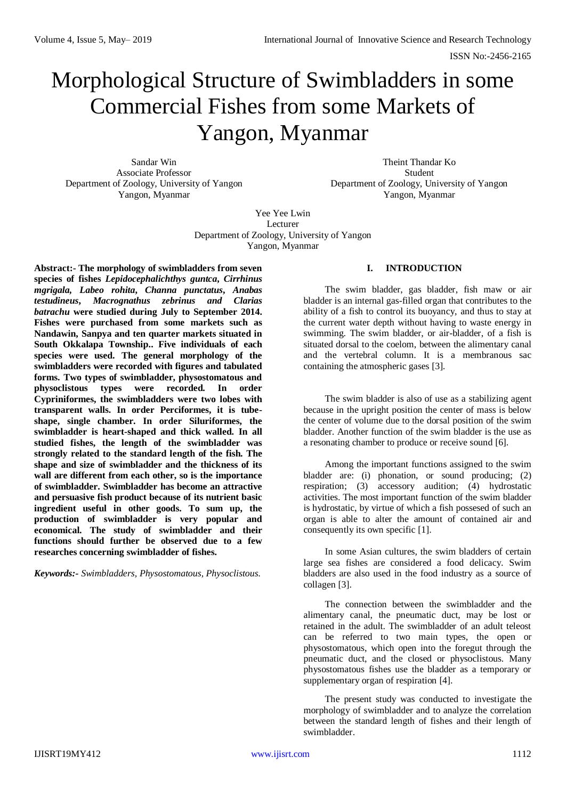# Morphological Structure of Swimbladders in some Commercial Fishes from some Markets of Yangon, Myanmar

Associate Professor Student Department of Zoology, University of Yangon Department of Zoology, University of Yangon Yangon, Myanmar Yangon, Myanmar

Sandar Win Theint Thandar Ko

Yee Yee Lwin Lecturer Department of Zoology, University of Yangon Yangon, Myanmar

**Abstract:- The morphology of swimbladders from seven species of fishes** *Lepidocephalichthys guntca***,** *Cirrhinus mgrigala, Labeo rohita***,** *Channa punctatus***,** *Anabas testudineus***,** *Macrognathus zebrinus and Clarias batrachu* **were studied during July to September 2014. Fishes were purchased from some markets such as Nandawin, Sanpya and ten quarter markets situated in South Okkalapa Township.. Five individuals of each species were used. The general morphology of the swimbladders were recorded with figures and tabulated forms. Two types of swimbladder, physostomatous and physoclistous types were recorded. In order Cypriniformes, the swimbladders were two lobes with transparent walls. In order Perciformes, it is tubeshape, single chamber. In order Siluriformes, the swimbladder is heart-shaped and thick walled. In all studied fishes, the length of the swimbladder was strongly related to the standard length of the fish. The shape and size of swimbladder and the thickness of its wall are different from each other, so is the importance of swimbladder. Swimbladder has become an attractive and persuasive fish product because of its nutrient basic ingredient useful in other goods. To sum up, the production of swimbladder is very popular and economical. The study of swimbladder and their functions should further be observed due to a few researches concerning swimbladder of fishes.**

*Keywords:- Swimbladders, Physostomatous, Physoclistous.*

## **I. INTRODUCTION**

The swim bladder, gas bladder, fish maw or air bladder is an internal gas-filled organ that contributes to the ability of a fish to control its buoyancy, and thus to stay at the current water depth without having to waste energy in swimming. The swim bladder, or air-bladder, of a fish is situated dorsal to the coelom, between the alimentary canal and the vertebral column. It is a membranous sac containing the atmospheric gases [3].

The swim bladder is also of use as a stabilizing agent because in the upright position the center of mass is below the center of volume due to the dorsal position of the swim bladder. Another function of the swim bladder is the use as a resonating chamber to produce or receive sound [6].

Among the important functions assigned to the swim bladder are: (i) phonation, or sound producing; (2) respiration; (3) accessory audition; (4) hydrostatic activities. The most important function of the swim bladder is hydrostatic, by virtue of which a fish possesed of such an organ is able to alter the amount of contained air and consequently its own specific [1].

In some Asian cultures, the swim bladders of certain large sea fishes are considered a food delicacy. Swim bladders are also used in the food industry as a source of collagen [3].

The connection between the swimbladder and the alimentary canal, the pneumatic duct, may be lost or retained in the adult. The swimbladder of an adult teleost can be referred to two main types, the open or physostomatous, which open into the foregut through the pneumatic duct, and the closed or physoclistous. Many physostomatous fishes use the bladder as a temporary or supplementary organ of respiration [4].

The present study was conducted to investigate the morphology of swimbladder and to analyze the correlation between the standard length of fishes and their length of swimbladder.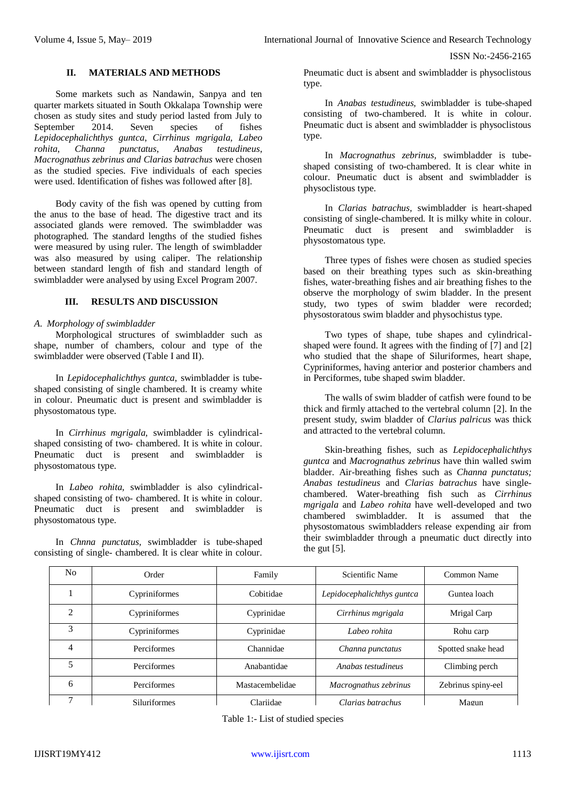ISSN No:-2456-2165

## **II. MATERIALS AND METHODS**

Some markets such as Nandawin, Sanpya and ten quarter markets situated in South Okkalapa Township were chosen as study sites and study period lasted from July to September 2014. Seven species of fishes *Lepidocephalichthys guntca*, *Cirrhinus mgrigala, Labeo rohita*, *Channa punctatus*, *Anabas testudineus*, *Macrognathus zebrinus and Clarias batrachus* were chosen as the studied species. Five individuals of each species were used. Identification of fishes was followed after [8].

Body cavity of the fish was opened by cutting from the anus to the base of head. The digestive tract and its associated glands were removed. The swimbladder was photographed. The standard lengths of the studied fishes were measured by using ruler. The length of swimbladder was also measured by using caliper. The relationship between standard length of fish and standard length of swimbladder were analysed by using Excel Program 2007.

## **III. RESULTS AND DISCUSSION**

#### *A. Morphology of swimbladder*

Morphological structures of swimbladder such as shape, number of chambers, colour and type of the swimbladder were observed (Table I and II).

In *Lepidocephalichthys guntca,* swimbladder is tubeshaped consisting of single chambered. It is creamy white in colour. Pneumatic duct is present and swimbladder is physostomatous type.

In *Cirrhinus mgrigala,* swimbladder is cylindricalshaped consisting of two- chambered. It is white in colour. Pneumatic duct is present and swimbladder is physostomatous type.

In *Labeo rohita,* swimbladder is also cylindricalshaped consisting of two- chambered. It is white in colour. Pneumatic duct is present and swimbladder is physostomatous type.

In *Chnna punctatus,* swimbladder is tube-shaped consisting of single- chambered. It is clear white in colour. Pneumatic duct is absent and swimbladder is physoclistous type.

In *Anabas testudineus,* swimbladder is tube-shaped consisting of two-chambered. It is white in colour. Pneumatic duct is absent and swimbladder is physoclistous type.

In *Macrognathus zebrinus,* swimbladder is tubeshaped consisting of two-chambered. It is clear white in colour. Pneumatic duct is absent and swimbladder is physoclistous type.

In *Clarias batrachus,* swimbladder is heart-shaped consisting of single-chambered. It is milky white in colour. Pneumatic duct is present and swimbladder is physostomatous type.

Three types of fishes were chosen as studied species based on their breathing types such as skin-breathing fishes, water-breathing fishes and air breathing fishes to the observe the morphology of swim bladder. In the present study, two types of swim bladder were recorded; physostoratous swim bladder and physochistus type.

Two types of shape, tube shapes and cylindricalshaped were found. It agrees with the finding of [7] and [2] who studied that the shape of Siluriformes, heart shape, Cypriniformes, having anterior and posterior chambers and in Perciformes, tube shaped swim bladder.

The walls of swim bladder of catfish were found to be thick and firmly attached to the vertebral column [2]. In the present study, swim bladder of *Clarius palricus* was thick and attracted to the vertebral column.

Skin-breathing fishes, such as *Lepidocephalichthys guntca* and *Macrognathus zebrinus* have thin walled swim bladder. Air-breathing fishes such as *Channa punctatus; Anabas testudineus* and *Clarias batrachus* have singlechambered. Water-breathing fish such as *Cirrhinus mgrigala* and *Labeo rohita* have well-developed and two chambered swimbladder. It is assumed that the physostomatous swimbladders release expending air from their swimbladder through a pneumatic duct directly into the gut [5].

| N <sub>0</sub> | Order               | Family          | Scientific Name            | Common Name        |
|----------------|---------------------|-----------------|----------------------------|--------------------|
|                | Cypriniformes       | Cobitidae       | Lepidocephalichthys guntca | Guntea loach       |
| ↑              | Cypriniformes       | Cyprinidae      | Cirrhinus mgrigala         | Mrigal Carp        |
| 3              | Cypriniformes       | Cyprinidae      | Labeo rohita               | Rohu carp          |
| 4              | Perciformes         | Channidae       | Channa punctatus           | Spotted snake head |
| 5              | Perciformes         | Anabantidae     | Anabas testudineus         | Climbing perch     |
| 6              | Perciformes         | Mastacembelidae | Macrognathus zebrinus      | Zebrinus spiny-eel |
|                | <b>Siluriformes</b> | Clariidae       | Clarias batrachus          | Magun              |

Table 1:- List of studied species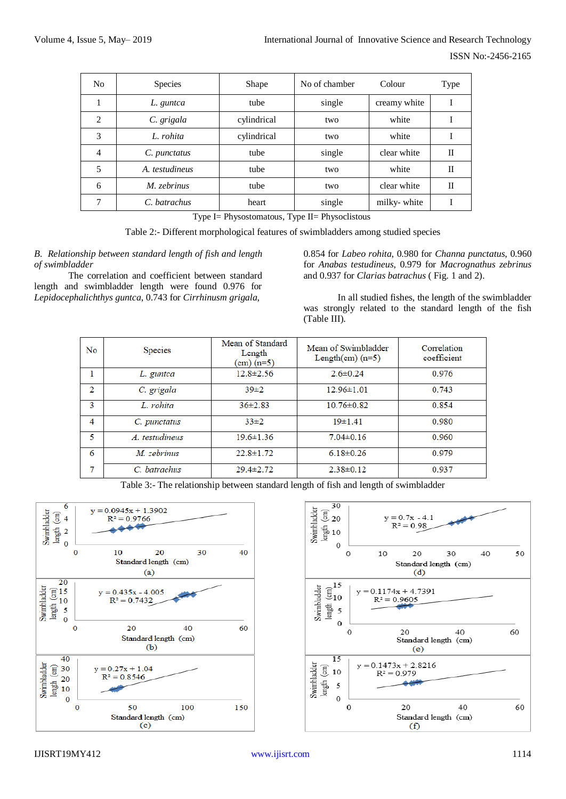| N <sub>0</sub>              | <b>Species</b> | Shape       | No of chamber | Colour       | Type        |
|-----------------------------|----------------|-------------|---------------|--------------|-------------|
|                             | L. guntca      | tube        | single        | creamy white |             |
| $\mathcal{D}_{\mathcal{L}}$ | C. grigala     | cylindrical | two           | white        |             |
| 3                           | L. rohita      | cylindrical | two           | white        |             |
| $\overline{4}$              | C. punctatus   | tube        | single        | clear white  | $_{\rm II}$ |
| 5                           | A. testudineus | tube        | two           | white        | $_{\rm II}$ |
| 6                           | M. zebrinus    | tube        | two           | clear white  | $_{\rm II}$ |
| 7                           | C. batrachus   | heart       | single        | milky-white  |             |

Type I= Physostomatous, Type II= Physoclistous

Table 2:- Different morphological features of swimbladders among studied species

*B. Relationship between standard length of fish and length of swimbladder*

The correlation and coefficient between standard length and swimbladder length were found 0.976 for *Lepidocephalichthys guntca*, 0.743 for *Cirrhinusm grigala*,

0.854 for *Labeo rohita*, 0.980 for *Channa punctatus*, 0.960 for *Anabas testudineus*, 0.979 for *Macrognathus zebrinus* and 0.937 for *Clarias batrachus* ( Fig. 1 and 2).

In all studied fishes, the length of the swimbladder was strongly related to the standard length of the fish (Table III).

| No | Species        | Mean of Standard<br>Length<br>$\pm$ (m=5) | Mean of Swimbladder<br>Length $(cm)(n=5)$ | Correlation<br>coefficient |
|----|----------------|-------------------------------------------|-------------------------------------------|----------------------------|
| 1  | L. guntca      | $12.8 \pm 2.56$                           | $2.6 \pm 0.24$                            | 0.976                      |
| 2  | C. grigala     | $39\pm2$                                  | $12.96 \pm 1.01$                          | 0.743                      |
| 3  | L. rohita      | $36\pm2.83$                               | $10.76 \pm 0.82$                          | 0.854                      |
| 4  | C. punctatus   | $33\pm2$                                  | 19±1.41                                   | 0.980                      |
| 5  | A. testudineus | $19.6 \pm 1.36$                           | $7.04 \pm 0.16$                           | 0.960                      |
| 6  | M. zebrinus    | $22.8 \pm 1.72$                           | $6.18 \pm 0.26$                           | 0.979                      |
| 7  | C. batrachus   | $29.4 \pm 2.72$                           | $2.38 \pm 0.12$                           | 0.937                      |

Table 3:- The relationship between standard length of fish and length of swimbladder



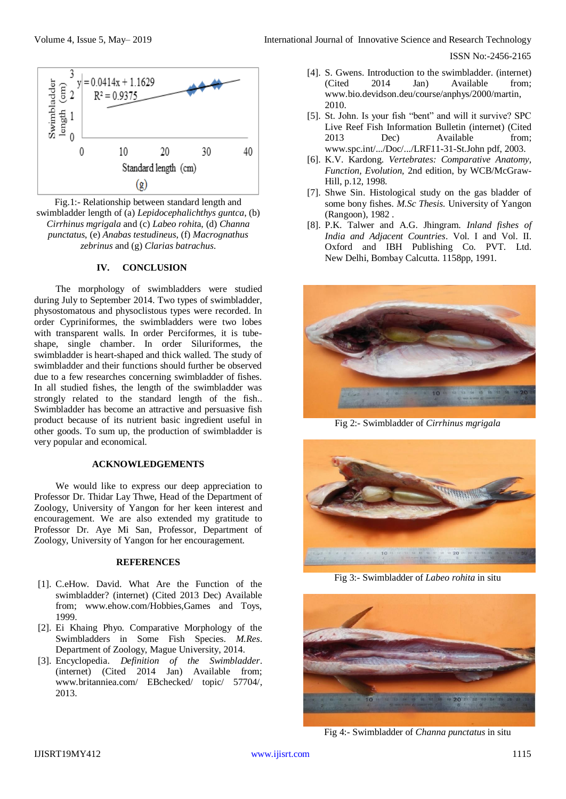ISSN No:-2456-2165



Fig.1:- Relationship between standard length and swimbladder length of (a) *Lepidocephalichthys guntca*, (b) *Cirrhinus mgrigala* and (c) *Labeo rohit*a, (d) *Channa punctatus*, (e) *Anabas testudineus*, (f) *Macrognathus zebrinus* and (g) *Clarias batrachus*.

## **IV. CONCLUSION**

The morphology of swimbladders were studied during July to September 2014. Two types of swimbladder, physostomatous and physoclistous types were recorded. In order Cypriniformes, the swimbladders were two lobes with transparent walls. In order Perciformes, it is tubeshape, single chamber. In order Siluriformes, the swimbladder is heart-shaped and thick walled. The study of swimbladder and their functions should further be observed due to a few researches concerning swimbladder of fishes. In all studied fishes, the length of the swimbladder was strongly related to the standard length of the fish.. Swimbladder has become an attractive and persuasive fish product because of its nutrient basic ingredient useful in other goods. To sum up, the production of swimbladder is very popular and economical.

## **ACKNOWLEDGEMENTS**

We would like to express our deep appreciation to Professor Dr. Thidar Lay Thwe, Head of the Department of Zoology, University of Yangon for her keen interest and encouragement. We are also extended my gratitude to Professor Dr. Aye Mi San, Professor, Department of Zoology, University of Yangon for her encouragement.

#### **REFERENCES**

- [1]. C.eHow. David. What Are the Function of the swimbladder? (internet) (Cited 2013 Dec) Available from; [www.ehow.com/Hobbies,Games](http://www.ehow.com/Hobbies,Games) and Toys, 1999.
- [2]. Ei Khaing Phyo. Comparative Morphology of the Swimbladders in Some Fish Species. *M.Res*. Department of Zoology, Mague University, 2014.
- [3]. Encyclopedia. *Definition of the Swimbladder*. (internet) (Cited 2014 Jan) Available from; [www.britanniea.com/ EBchecked/ topic/ 57704/,](http://www.britanniea.com/%20EBchecked/%20topic/%2057704/) 2013.
- [4]. S. Gwens. Introduction to the swimbladder. (internet) (Cited 2014 Jan) Available from; [www.bio.devidson.deu/course/anphys/2000/martin,](http://www.bio.devidson.deu/course/anphys/2000/martin) 2010.
- [5]. St. John. Is your fish "bent" and will it survive? SPC Live Reef Fish Information Bulletin (internet) (Cited 2013 Dec) Available from; [www.spc.int/.../Doc/.../LRF11-31-St.John](http://www.spc.int/.../Doc/.../LRF11-31-St.John) pdf, 2003.
- [6]. K.V. Kardong. *Vertebrates: Comparative Anatomy, Function, Evolution,* 2nd edition, by WCB/McGraw-Hill, p.12, 1998.
- [7]. Shwe Sin. Histological study on the gas bladder of some bony fishes. *M.Sc Thesis.* University of Yangon (Rangoon), 1982 .
- [8]. P.K. Talwer and A.G. Jhingram. *Inland fishes of India and Adjacent Countries*. Vol. I and Vol. II. Oxford and IBH Publishing Co. PVT. Ltd. New Delhi, Bombay Calcutta. 1158pp, 1991.



Fig 2:- Swimbladder of *Cirrhinus mgrigala*



Fig 3:- Swimbladder of *Labeo rohita* in situ



Fig 4:- Swimbladder of *Channa punctatus* in situ